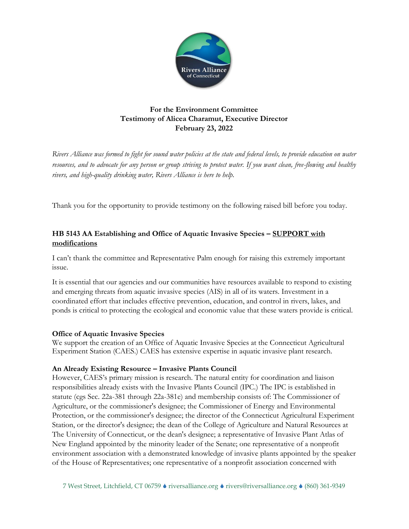

# **For the Environment Committee Testimony of Alicea Charamut, Executive Director February 23, 2022**

*Rivers Alliance was formed to fight for sound water policies at the state and federal levels, to provide education on water resources, and to advocate for any person or group striving to protect water. If you want clean, free-flowing and healthy rivers, and high-quality drinking water, Rivers Alliance is here to help.*

Thank you for the opportunity to provide testimony on the following raised bill before you today.

# **HB 5143 AA Establishing and Office of Aquatic Invasive Species – SUPPORT with modifications**

I can't thank the committee and Representative Palm enough for raising this extremely important issue.

It is essential that our agencies and our communities have resources available to respond to existing and emerging threats from aquatic invasive species (AIS) in all of its waters. Investment in a coordinated effort that includes effective prevention, education, and control in rivers, lakes, and ponds is critical to protecting the ecological and economic value that these waters provide is critical.

### **Office of Aquatic Invasive Species**

We support the creation of an Office of Aquatic Invasive Species at the Connecticut Agricultural Experiment Station (CAES.) CAES has extensive expertise in aquatic invasive plant research.

### **An Already Existing Resource – Invasive Plants Council**

However, CAES's primary mission is research. The natural entity for coordination and liaison responsibilities already exists with the Invasive Plants Council (IPC.) The IPC is established in statute (cgs Sec. 22a-381 through 22a-381e) and membership consists of: The Commissioner of Agriculture, or the commissioner's designee; the Commissioner of Energy and Environmental Protection, or the commissioner's designee; the director of the Connecticut Agricultural Experiment Station, or the director's designee; the dean of the College of Agriculture and Natural Resources at The University of Connecticut, or the dean's designee; a representative of Invasive Plant Atlas of New England appointed by the minority leader of the Senate; one representative of a nonprofit environment association with a demonstrated knowledge of invasive plants appointed by the speaker of the House of Representatives; one representative of a nonprofit association concerned with